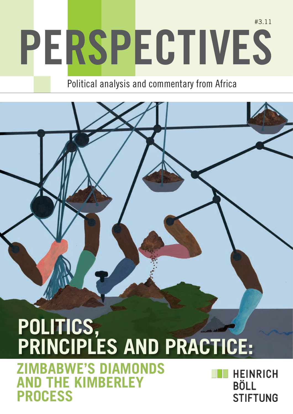# **Perspectives** #3.11

Political analysis and commentary from Africa

## POLITICS, **Principles and Practice:**

image here is a second that the second second second second second second second second second second second second second second second second second second second second second second second second second second second s

**Zimbabwe's Diamonds THE KIMBERLEY Process**

**HEINRICH BÖLL STIFTUNG**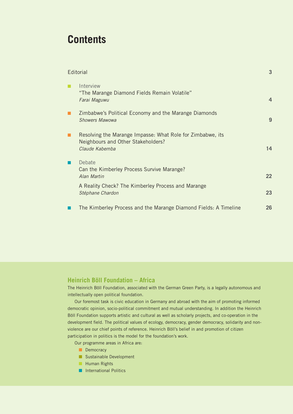### **Contents**

| Editorial |                                                                                                                    | 3              |
|-----------|--------------------------------------------------------------------------------------------------------------------|----------------|
| п         | Interview<br>"The Marange Diamond Fields Remain Volatile"<br>Farai Maguwu                                          | $\overline{4}$ |
| п         | Zimbabwe's Political Economy and the Marange Diamonds<br><b>Showers Mawowa</b>                                     | 9              |
| п         | Resolving the Marange Impasse: What Role for Zimbabwe, its<br>Neighbours and Other Stakeholders?<br>Claude Kabemba | 14             |
|           | Debate<br>Can the Kimberley Process Survive Marange?<br>Alan Martin                                                | 22             |
|           | A Reality Check? The Kimberley Process and Marange<br>Stéphane Chardon                                             | 23             |
|           | The Kimberley Process and the Marange Diamond Fields: A Timeline                                                   | 26             |

#### **Heinrich Böll Foundation – Africa**

The Heinrich Böll Foundation, associated with the German Green Party, is a legally autonomous and intellectually open political foundation.

Our foremost task is civic education in Germany and abroad with the aim of promoting informed democratic opinion, socio-political commitment and mutual understanding. In addition the Heinrich Böll Foundation supports artistic and cultural as well as scholarly projects, and co-operation in the development field. The political values of ecology, democracy, gender democracy, solidarity and nonviolence are our chief points of reference. Heinrich Böll's belief in and promotion of citizen participation in politics is the model for the foundation's work.

Our programme areas in Africa are:

- Democracy
- **n** Sustainable Development
- **Human Rights**
- n International Politics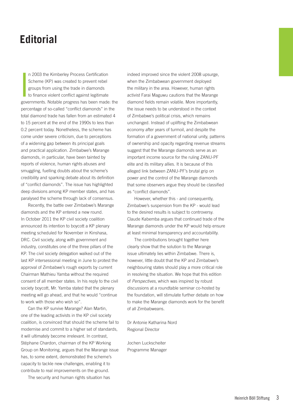### **Editorial**

n 2003 the Kimberley Process Certification<br>Scheme (KP) was created to prevent rebel<br>groups from using the trade in diamonds<br>to finance violent conflict against legitimate<br>governments. Notable progress has been made: the n 2003 the Kimberley Process Certification Scheme (KP) was created to prevent rebel groups from using the trade in diamonds to finance violent conflict against legitimate percentage of so-called "conflict diamonds" in the total diamond trade has fallen from an estimated 4 to 15 percent at the end of the 1990s to less than 0.2 percent today. Nonetheless, the scheme has come under severe criticism, due to perceptions of a widening gap between its principal goals and practical application. Zimbabwe's Marange diamonds, in particular, have been tainted by reports of violence, human rights abuses and smuggling, fuelling doubts about the scheme's credibility and sparking debate about its definition of "conflict diamonds". The issue has highlighted deep divisions among KP member states, and has paralysed the scheme through lack of consensus.

Recently, the battle over Zimbabwe's Marange diamonds and the KP entered a new round. In October 2011 the KP civil society coalition announced its intention to boycott a KP plenary meeting scheduled for November in Kinshasa, DRC. Civil society, along with government and industry, constitutes one of the three pillars of the KP. The civil society delegation walked out of the last KP intersessional meeting in June to protest the approval of Zimbabwe's rough exports by current Chairman Mathieu Yamba without the required consent of all member states. In his reply to the civil society boycott, Mr. Yamba stated that the plenary meeting will go ahead, and that he would "continue to work with those who wish so".

Can the KP survive Marange? Alan Martin, one of the leading activists in the KP civil society coalition, is convinced that should the scheme fail to modernise and commit to a higher set of standards, it will ultimately become irrelevant. In contrast, Stéphane Chardon, chairman of the KP Working Group on Monitoring, argues that the Marange issue has, to some extent, demonstrated the scheme's capacity to tackle new challenges, enabling it to contribute to real improvements on the ground.

The security and human rights situation has

indeed improved since the violent 2008 upsurge, when the Zimbabwean government deployed the military in the area. However, human rights activist Farai Maguwu cautions that the Marange diamond fields remain volatile. More importantly, the issue needs to be understood in the context of Zimbabwe's political crisis, which remains unchanged. Instead of uplifting the Zimbabwean economy after years of turmoil, and despite the formation of a government of national unity, patterns of ownership and opacity regarding revenue streams suggest that the Marange diamonds serve as an important income source for the ruling ZANU-PF elite and its military allies. It is because of this alleged link between ZANU-PF's brutal grip on power and the control of the Marange diamonds that some observers argue they should be classified as "conflict diamonds".

However, whether this - and consequently, Zimbabwe's suspension from the KP - would lead to the desired results is subject to controversy. Claude Kabemba argues that continued trade of the Marange diamonds under the KP would help ensure at least minimal transparency and accountability.

The contributions brought together here clearly show that the solution to the Marange issue ultimately lies within Zimbabwe. There is, however, little doubt that the KP and Zimbabwe's neighbouring states should play a more critical role in resolving the situation. We hope that this edition of *Perspectives*, which was inspired by robust discussions at a roundtable seminar co-hosted by the foundation, will stimulate further debate on how to make the Marange diamonds work for the benefit of all Zimbabweans.

Dr Antonie Katharina Nord Regional Director

Jochen Luckscheiter Programme Manager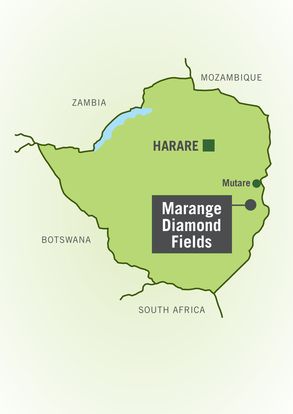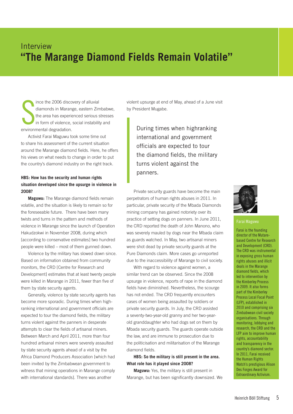### Interview **"The Marange Diamond Fields Remain Volatile"**

S ince the 2006 discovery of alluvial diamonds in Marange, eastern Zimbabwe, the area has experienced serious stresses in form of violence, social instability and environmental degradation.

Activist Farai Maguwu took some time out to share his assessment of the current situation around the Marange diamond fields. Here, he offers his views on what needs to change in order to put the country's diamond industry on the right track.

#### **HBS: How has the security and human rights situation developed since the upsurge in violence in 2008?**

**Maguwu:** The Marange diamond fields remain volatile, and the situation is likely to remain so for the foreseeable future. There have been many twists and turns in the pattern and methods of violence in Marange since the launch of Operation Hakudzokwi in November 2008, during which [according to conservative estimates] two hundred people were killed – most of them gunned down.

Violence by the military has slowed down since. Based on information obtained from community monitors, the CRD [Centre for Research and Development] estimates that at least twenty people were killed in Marange in 2011, fewer than five of them by state security agents.

Generally, violence by state security agents has become more sporadic. During times when highranking international and government officials are expected to tour the diamond fields, the military turns violent against the panners in desperate attempts to clear the fields of artisanal miners. Between March and April 2011, more than four hundred artisanal miners were severely assaulted by state security agents ahead of a visit by the Africa Diamond Producers Association [which had been invited by the Zimbabwean government to witness that mining operations in Marange comply with international standards]. There was another

violent upsurge at end of May, ahead of a June visit by President Mugabe.

During times when highranking international and government officials are expected to tour the diamond fields, the military turns violent against the panners.

Private security guards have become the main perpetrators of human rights abuses in 2011. In particular, private security of the Mbada Diamonds mining company has gained notoriety over its practice of setting dogs on panners. In June 2011, the CRD reported the death of John Manono, who was severely mauled by dogs near the Mbada claim as guards watched. In May, two artisanal miners were shot dead by private security guards at the Pure Diamonds claim. More cases go unreported due to the inaccessibility of Marange to civil society.

With regard to violence against women, a similar trend can be observed. Since the 2008 upsurge in violence, reports of rape in the diamond fields have diminished. Nevertheless, the scourge has not ended. The CRD frequently encounters cases of women being assaulted by soldiers or private security guards. In July, the CRD assisted a seventy-two-year-old granny and her two-yearold granddaughter who had dogs set on them by Mbada security guards. The guards operate outside the law, and are immune to prosecution due to the politicisation and militarisation of the Marange diamond fields.

#### **HBS: So the military is still present in the area. What role has it played since 2008?**

**Maguwu:** Yes, the military is still present in Marange, but has been significantly downsized. We



#### **Farai Maguwu**

Farai is the founding director of the Mutarebased Centre for Research and Development (CRD). The CRD was instrumental in exposing gross human rights abuses and illicit deals in the Marange diamond fields, which led to intervention by the Kimberley Process in 2009. It also forms part of the Kimberley Process Local Focal Point (LFP), established in 2010 and comprising six Zimbabwean civil society organisations. Through monitoring, lobbying and research, the CRD and the LFP aim to improve human rights, accountability and transparency in the country's diamond sector. In 2011, Farai received the Human Rights Watch's prestigious Alison Des Forges Award for Extraordinary Activism.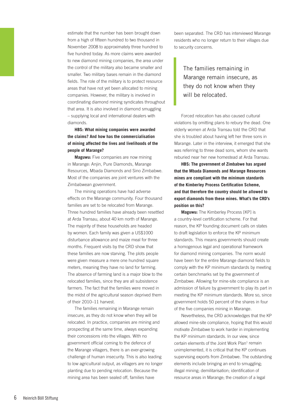estimate that the number has been brought down from a high of fifteen hundred to two thousand in November 2008 to approximately three hundred to five hundred today. As more claims were awarded to new diamond mining companies, the area under the control of the military also became smaller and smaller. Two military bases remain in the diamond fields. The role of the military is to protect resource areas that have not yet been allocated to mining companies. However, the military is involved in coordinating diamond mining syndicates throughout that area. It is also involved in diamond smuggling – supplying local and international dealers with diamonds.

**HBS: What mining companies were awarded the claims? And how has the commercialisation of mining affected the lives and livelihoods of the people of Marange?**

**Maguwu:** Five companies are now mining in Marange: Anjin, Pure Diamonds, Marange Resources, Mbada Diamonds and Sino Zimbabwe. Most of the companies are joint ventures with the Zimbabwean government.

The mining operations have had adverse effects on the Marange community. Four thousand families are set to be relocated from Marange. Three hundred families have already been resettled at Arda Transau, about 40 km north of Marange. The majority of these households are headed by women. Each family was given a US\$1000 disturbance allowance and maize meal for three months. Frequent visits by the CRD show that these families are now starving. The plots people were given measure a mere one hundred square meters, meaning they have no land for farming. The absence of farming land is a major blow to the relocated families, since they are all subsistence farmers. The fact that the families were moved in the midst of the agricultural season deprived them of their 2010–11 harvest.

The families remaining in Marange remain insecure, as they do not know when they will be relocated. In practice, companies are mining and prospecting at the same time, always expanding their concessions into the villages. With no government official coming to the defence of the Marange villagers, there is an ever-growing challenge of human insecurity. This is also leading to low agricultural output, as villagers are no longer planting due to pending relocation. Because the mining area has been sealed off, families have

been separated. The CRD has interviewed Marange residents who no longer return to their villages due to security concerns.

The families remaining in Marange remain insecure, as they do not know when they will be relocated.

Forced relocation has also caused cultural violations by omitting plans to rebury the dead. One elderly women at Arda Transau told the CRD that she is troubled about having left her three sons in Marange. Later in the interview, it emerged that she was referring to three dead sons, whom she wants reburied near her new homestead at Arda Transau.

**HBS: The government of Zimbabwe has argued that the Mbada Diamonds and Marange Resources mines are compliant with the minimum standards of the Kimberley Process Certification Scheme, and that therefore the country should be allowed to export diamonds from these mines. What's the CRD's position on this?** 

**Maguwu:** The Kimberley Process [KP] is a country-level certification scheme. For that reason, the KP founding document calls on states to draft legislation to enforce the KP minimum standards. This means governments should create a homogenous legal and operational framework for diamond mining companies. The norm would have been for the entire Marange diamond fields to comply with the KP minimum standards by meeting certain benchmarks set by the government of Zimbabwe. Allowing for mine-site compliance is an admission of failure by government to play its part in meeting the KP minimum standards. More so, since government holds 50 percent of the shares in four of the five companies mining in Marange.

Nevertheless, the CRD acknowledges that the KP allowed mine-site compliance, hoping that this would motivate Zimbabwe to work harder in implementing the KP minimum standards. In our view, since certain elements of the Joint Work Plan<sup>1</sup> remain unimplemented, it is critical that the KP continues supervising exports from Zimbabwe. The outstanding elements include bringing an end to smuggling; illegal mining; demilitarisation; identification of resource areas in Marange; the creation of a legal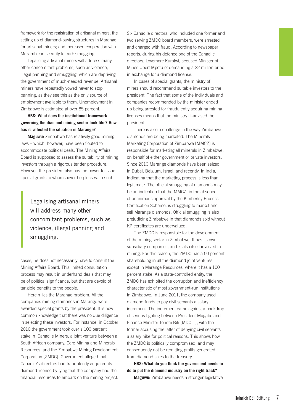framework for the registration of artisanal miners; the setting up of diamond-buying structures in Marange for artisanal miners; and increased cooperation with Mozambican security to curb smuggling.

Legalising artisanal miners will address many other concomitant problems, such as violence, illegal panning and smuggling, which are depriving the government of much-needed revenue. Artisanal miners have repeatedly vowed never to stop panning, as they see this as the only source of employment available to them. Unemployment in Zimbabwe is estimated at over 85 percent.

**HBS: What does the institutional framework governing the diamond mining sector look like? How has it affected the situation in Marange?**

**Maguwu:** Zimbabwe has relatively good mining laws – which, however, have been flouted to accommodate political deals. The Mining Affairs Board is supposed to assess the suitability of mining investors through a rigorous tender procedure. However, the president also has the power to issue special grants to whomsoever he pleases. In such

Legalising artisanal miners will address many other concomitant problems, such as violence, illegal panning and smuggling.

cases, he does not necessarily have to consult the Mining Affairs Board. This limited consultation process may result in underhand deals that may be of political significance, but that are devoid of tangible benefits to the people.

Herein lies the Marange problem. All the companies mining diamonds in Marange were awarded special grants by the president. It is now common knowledge that there was no due diligence in selecting these investors. For instance, in October 2010 the government took over a 100 percent stake in Canadile Miners, a joint venture between a South African company, Core Mining and Minerals Resources, and the Zimbabwe Mining Development Corporation [ZMDC]. Government alleged that Canadile's directors had fraudulently acquired its diamond licence by lying that the company had the financial resources to embark on the mining project. Six Canadile directors, who included one former and two serving ZMDC board members, were arrested and charged with fraud. According to newspaper reports, during his defence one of the Canadile directors, Lovemore Kurotwi, accused Minister of Mines Obert Mpofu of demanding a \$2 million bribe in exchange for a diamond license.

In cases of special grants, the ministry of mines should recommend suitable investors to the president. The fact that some of the individuals and companies recommended by the minister ended up being arrested for fraudulently acquiring mining licenses means that the ministry ill-advised the president.

There is also a challenge in the way Zimbabwe diamonds are being marketed. The Minerals Marketing Corporation of Zimbabwe [MMCZ] is responsible for marketing all minerals in Zimbabwe, on behalf of either government or private investors. Since 2010 Marange diamonds have been seized in Dubai, Belgium, Israel, and recently, in India, indicating that the marketing process is less than legitimate. The official smuggling of diamonds may be an indication that the MMCZ, in the absence of unanimous approval by the Kimberley Process Certification Scheme, is struggling to market and sell Marange diamonds. Official smuggling is also prejudicing Zimbabwe in that diamonds sold without KP certificates are undervalued.

The ZMDC is responsible for the development of the mining sector in Zimbabwe. It has its own subsidiary companies, and is also itself involved in mining. For this reason, the ZMDC has a 50 percent shareholding in all the diamond joint ventures, except in Marange Resources, where it has a 100 percent stake. As a state-controlled entity, the ZMDC has exhibited the corruption and inefficiency characteristic of most government-run institutions in Zimbabwe. In June 2011, the company used diamond funds to pay civil servants a salary increment. The increment came against a backdrop of serious fighting between President Mugabe and Finance Minister Tendai Biti [MDC-T], with the former accusing the latter of denying civil servants a salary hike for political reasons. This shows how the ZMDC is politically compromised, and may consequently not be remitting profits generated from diamond sales to the treasury.

**HBS: What do you think the government needs to do to put the diamond industry on the right track? Maguwu:** Zimbabwe needs a stronger legislative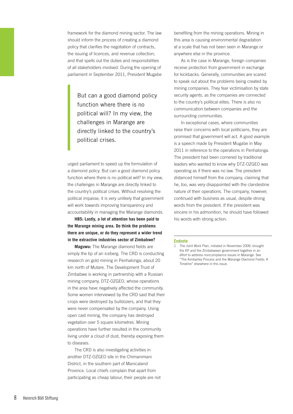framework for the diamond mining sector. The law should inform the process of creating a diamond policy that clarifies the negotiation of contracts, the issuing of licences, and revenue collection; and that spells out the duties and responsibilities of all stakeholders involved. During the opening of parliament in September 2011, President Mugabe

> But can a good diamond policy function where there is no political will? In my view, the challenges in Marange are directly linked to the country's political crises.

urged parliament to speed up the formulation of a diamond policy. But can a good diamond policy function where there is no political will? In my view, the challenges in Marange are directly linked to the country's political crises. Without resolving the political impasse, it is very unlikely that government will work towards improving transparency and accountability in managing the Marange diamonds.

**HBS: Lastly, a lot of attention has been paid to the Marange mining area. Do think the problems there are unique, or do they represent a wider trend in the extractive industries sector of Zimbabwe?**

**Maguwu:** The Marange diamond fields are simply the tip of an iceberg. The CRD is conducting research on gold mining in Penhalonga, about 20 km north of Mutare. The Development Trust of Zimbabwe is working in partnership with a Russian mining company, DTZ-OZGEO, whose operations in the area have negatively affected the community. Some women interviewed by the CRD said that their crops were destroyed by bulldozers, and that they were never compensated by the company. Using open cast mining, the company has destroyed vegetation over 5 square kilometres. Mining operations have further resulted in the community living under a cloud of dust, thereby exposing them to diseases.

The CRD is also investigating activities in another DTZ-OZGEO site in the Chimanimani District, in the southern part of Manicaland Province. Local chiefs complain that apart from participating as cheap labour, their people are not benefiting from the mining operations. Mining in this area is causing environmental degradation at a scale that has not been seen in Marange or anywhere else in the province.

As is the case in Marange, foreign companies receive protection from government in exchange for kickbacks. Generally, communities are scared to speak out about the problems being created by mining companies. They fear victimisation by state security agents, as the companies are connected to the country's political elites. There is also no communication between companies and the surrounding communities.

In exceptional cases, where communities raise their concerns with local politicians, they are promised that government will act. A good example is a speech made by President Mugabe in May 2011 in reference to the operations in Penhalonga. The president had been cornered by traditional leaders who wanted to know why DTZ-OZGEO was operating as if there was no law. The president distanced himself from the company, claiming that he, too, was very disappointed with the clandestine nature of their operations. The company, however, continued with business as usual, despite strong words from the president. If the president was sincere in his admonition, he should have followed his words with strong action.

#### **Endnote**

<sup>1</sup> The Joint Work Plan, initiated in November 2009, brought the KP and the Zimbabwean government together in an effort to address noncompliance issues in Marange. See "The Kimberley Process and the Marange Diamond Fields: A Timeline" elsewhere in this issue.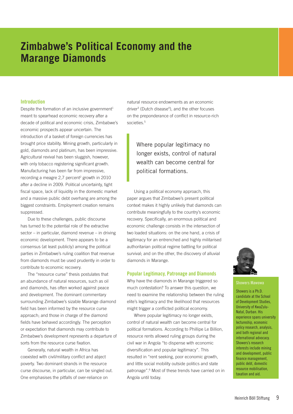### **Zimbabwe's Political Economy and the Marange Diamonds**

#### **Introduction**

Despite the formation of an inclusive government<sup>1</sup> meant to spearhead economic recovery after a decade of political and economic crisis, Zimbabwe's economic prospects appear uncertain. The introduction of a basket of foreign currencies has brought price stability. Mining growth, particularly in gold, diamonds and platinum, has been impressive. Agricultural revival has been sluggish, however, with only tobacco registering significant growth. Manufacturing has been far from impressive, recording a meagre  $2,7$  percent<sup>2</sup> growth in 2010 after a decline in 2009. Political uncertainty, tight fiscal space, lack of liquidity in the domestic market and a massive public debt overhang are among the biggest constraints. Employment creation remains suppressed.

Due to these challenges, public discourse has turned to the potential role of the extractive sector – in particular, diamond revenue – in driving economic development. There appears to be a consensus (at least publicly) among the political parties in Zimbabwe's ruling coalition that revenue from diamonds must be used prudently in order to contribute to economic recovery.

The "resource curse" thesis postulates that an abundance of natural resources, such as oil and diamonds, has often worked against peace and development. The dominant commentary surrounding Zimbabwe's sizable Marange diamond field has been informed by the resource curse approach; and those in charge of the diamond fields have behaved accordingly. The perception or expectation that diamonds may contribute to Zimbabwe's development represents a departure of sorts from the resource curse fixation.

Generally, natural wealth in Africa has coexisted with civil/military conflict and abject poverty. Two dominant strands in the resource curse discourse, in particular, can be singled out. One emphasises the pitfalls of over-reliance on

natural resource endowments as an economic driver<sup>3</sup> (Dutch disease<sup>4</sup>), and the other focuses on the preponderance of conflict in resource-rich societies.<sup>5</sup>

#### Where popular legitimacy no longer exists, control of natural wealth can become central for political formations.

Using a political economy approach, this paper argues that Zimbabwe's present political context makes it highly unlikely that diamonds can contribute meaningfully to the country's economic recovery. Specifically, an enormous political and economic challenge consists in the intersection of two loaded situations: on the one hand, a crisis of legitimacy for an entrenched and highly militarised authoritarian political regime battling for political survival; and on the other, the discovery of alluvial diamonds in Marange.

#### **Popular Legitimacy, Patronage and Diamonds**

Why have the diamonds in Marange triggered so much contestation? To answer this question, we need to examine the relationship between the ruling elite's legitimacy and the likelihood that resources might trigger a conflicted political economy.

Where popular legitimacy no longer exists, control of natural wealth can become central for political formations. According to Phillipe Le Billion, resource rents allowed ruling groups during the civil war in Angola "to dispense with economic diversification and popular legitimacy". This resulted in "rent seeking, poor economic growth, and little social mobility outside politics and state patronage".6 Most of these trends have carried on in Angola until today.



#### **Showers Mawowa**

Showers is a Ph.D. candidate at the School of Development Studies, University of KwaZulu-Natal, Durban. His experience spans university lectureship, economic policy research, analysis, and both regional and international advocacy. Showers's research interests include mining and development, public finance management, public debt, domestic resource mobilisation, taxation and aid.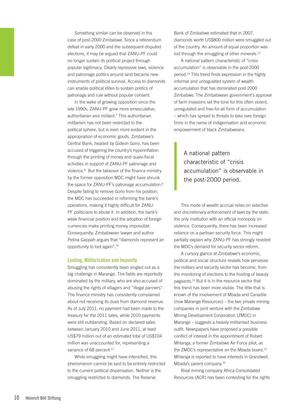Something similar can be observed in the case of post-2000 Zimbabwe. Since a referendum defeat in early 2000 and the subsequent disputed elections, it may be argued that ZANU-PF could no longer sustain its political project through popular legitimacy. Clearly repressive laws, violence and patronage politics around land became new instruments of political survival. Access to diamonds can enable political elites to sustain politics of patronage and rule without popular consent.

In the wake of growing opposition since the late 1990s, ZANU-PF grew more emasculative, authoritarian and militant.7 This authoritarian militarism has not been restricted to the political sphere, but is even more evident in the appropriation of economic goods. Zimbabwe's Central Bank, headed by Gideon Gono, has been accused of triggering the country's hyperinflation through the printing of money and quasi-fiscal activities in support of ZANU-PF patronage and violence.8 But the takeover of the finance ministry by the former opposition MDC might have shrunk the space for ZANU-PF's patronage accumulation.<sup>9</sup> Despite failing to remove Gono from his position, the MDC has succeeded in reforming the bank's operations, making it highly difficult for ZANU-PF politicians to abuse it. In addition, the bank's weak financial position and the adoption of foreign currencies make printing money impossible. Consequently, Zimbabwean lawyer and author Petina Gappah argues that "diamonds represent an opportunity to loot again".10

#### **Looting, Militarisation and Impunity**

Smuggling has consistently been singled out as a big challenge in Marange. The fields are reportedly dominated by the military, who are also accused of abusing the rights of villagers and "illegal panners". The finance ministry has consistently complained about not receiving its dues from diamond revenue. As of July 2011, no payment had been made to the treasury for the 2011 sales, while 2010 payments were still outstanding. Based on declared sales between January 2010 and June 2011, at least US\$79 million out of an estimated total of US\$104 million was unaccounted for, representing a variance of 68 percent.<sup>11</sup>

While smuggling might have intensified, this phenomenon cannot be said to be entirely restricted to the current political dispensation. Neither is the smuggling restricted to diamonds. The Reserve

Bank of Zimbabwe estimated that in 2007, diamonds worth US\$800 million were smuggled out of the country. An amount of equal proportion was lost through the smuggling of other minerals.<sup>12</sup>

A national pattern characteristic of "crisis accumulation" is observable in the post-2000 period.13 This trend finds expression in the highly informal and unregulated system of wealth accumulation that has dominated post-2000 Zimbabwe. The Zimbabwean government's approval of farm invasions set the tone for this often violent, unregulated and free-for-all form of accumulation – which has spread to threats to take over foreign firms in the name of indigenisation and economic empowerment of black Zimbabweans.

A national pattern characteristic of "crisis accumulation" is observable in the post-2000 period.

This mode of wealth accrual relies on selective and discretionary enforcement of laws by the state, the only institution with an official monopoly on violence. Consequently, there has been increased reliance on a partisan security force. This might partially explain why ZANU-PF has strongly resisted the MDC's demand for security sector reform.

A cursory glance at Zimbabwe's economic, political and social structure reveals how pervasive the military and security sector has become, from the monitoring of elections to the hosting of beauty pageants.14 But it is in the resource sector that this trend has been more visible. The little that is known of the involvement of Mbada and Canadile (now Marange Resources) – the two private mining companies in joint venture with the Zimbabwe Mining Development Corporation (ZMDC) in Marange – suggests a heavily militarised business outfit. Newspapers have proposed a possible conflict of interest in the appointment of Robert Mhlanga, a former Zimbabwe Air Force pilot, as the ZMDC's representative on the Mbada board.<sup>15</sup> Mhlanga is reported to have interests in Grandwell, Mbada's parent company.16

Rival mining company Africa Consolidated Resources (ACR) has been contesting for the rights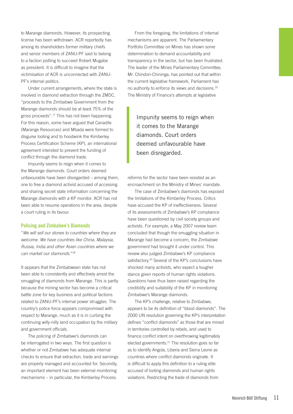to Marange diamonds. However, its prospecting license has been withdrawn. ACR reportedly has among its shareholders former military chiefs and senior members of ZANU-PF said to belong to a faction jostling to succeed Robert Mugabe as president. It is difficult to imagine that the victimisation of ACR is unconnected with ZANU-PF's internal politics.

Under current arrangements, where the state is involved in diamond extraction through the ZMDC, "proceeds to the Zimbabwe Government from the Marange diamonds should be at least 75% of the gross proceeds".17 This has not been happening. For this reason, some have argued that Canadile (Marange Resources) and Mbada were formed to disguise looting and to hoodwink the Kimberley Process Certification Scheme (KP), an international agreement intended to prevent the funding of conflict through the diamond trade.

Impunity seems to reign when it comes to the Marange diamonds. Court orders deemed unfavourable have been disregarded – among them, one to free a diamond activist accused of accessing and sharing secret state information concerning the Marange diamonds with a KP monitor. ACR has not been able to resume operations in the area, despite a court ruling in its favour.

#### **Policing and Zimbabwe's Diamonds**

"*We will sell our stones to countries where they are welcome. We have countries like China, Malaysia, Russia, India and other Asian countries where we can market our diamonds.*"18

It appears that the Zimbabwean state has not been able to consistently and effectively arrest the smuggling of diamonds from Marange. This is partly because the mining sector has become a critical battle zone for key business and political factions related to ZANU-PF's internal power struggles. The country's police force appears compromised with respect to Marange, much as it is in curbing the continuing willy-nilly land occupation by the military and government officials.

The policing of Zimbabwe's diamonds can be interrogated in two ways. The first question is whether or not Zimbabwe has adequate internal checks to ensure that extraction, trade and earnings are properly managed and accounted for. Secondly, an important element has been external monitoring mechanisms – in particular, the Kimberley Process.

From the foregoing, the limitations of internal mechanisms are apparent. The Parliamentary Portfolio Committee on Mines has shown some determination to demand accountability and transparency in the sector, but has been frustrated. The leader of the Mines Parliamentary Committee, Mr. Chindori-Chininga, has pointed out that within the current legislative framework, Parliament has no authority to enforce its views and decisions.<sup>19</sup> The Ministry of Finance's attempts at legislative

Impunity seems to reign when it comes to the Marange diamonds. Court orders deemed unfavourable have been disregarded.

reforms for the sector have been resisted as an encroachment on the Ministry of Mines' mandate.

The case of Zimbabwe's diamonds has exposed the limitations of the Kimberley Process. Critics have accused the KP of ineffectiveness. Several of its assessments of Zimbabwe's KP compliance have been questioned by civil society groups and activists. For example, a May 2007 review team concluded that though the smuggling situation in Marange had become a concern, the Zimbabwe government had brought it under control. This review also judged Zimbabwe's KP compliance satisfactory.<sup>20</sup> Several of the KP's conclusions have shocked many activists, who expect a tougher stance given reports of human rights violations. Questions have thus been raised regarding the credibility and suitability of the KP in monitoring Zimbabwe's Marange diamonds.

The KP's challenge, relative to Zimbabwe, appears to be its definition of "blood diamonds". The 2000 UN resolution governing the KP's interpretation defines "conflict diamonds" as those that are mined in territories controlled by rebels, and used to finance conflict intent on overthrowing legitimately elected governments.21 The resolution goes so far as to identify Angola, Liberia and Sierra Leone as countries where conflict diamonds originate. It is difficult to apply this definition to a ruling elite accused of looting diamonds and human rights violations. Restricting the trade of diamonds from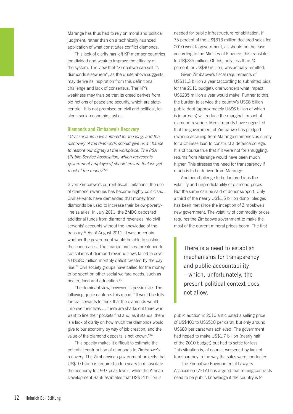Marange has thus had to rely on moral and political judgment, rather than on a technically nuanced application of what constitutes conflict diamonds.

This lack of clarity has left KP member countries too divided and weak to improve the efficacy of the system. The view that "Zimbabwe can sell its diamonds elsewhere", as the quote above suggests, may derive its inspiration from this definitional challenge and lack of consensus. The KP's weakness may thus be that its creed derives from old notions of peace and security, which are statecentric. It is not premised on civil and political, let alone socio-economic, justice.

#### **Diamonds and Zimbabwe's Recovery**

"*Civil servants have suffered for too long, and the discovery of the diamonds should give us a chance to restore our dignity at the workplace. The PSA [Public Service Association, which represents government employees] should ensure that we get most of the money.*"22

Given Zimbabwe's current fiscal limitations, the use of diamond revenues has become highly politicised. Civil servants have demanded that money from diamonds be used to increase their below-povertyline salaries. In July 2011, the ZMDC deposited additional funds from diamond revenues into civil servants' accounts without the knowledge of the treasury.23 As of August 2011, it was uncertain whether the government would be able to sustain these increases. The finance ministry threatened to cut salaries if diamond revenue flows failed to cover a US\$80 million monthly deficit created by the pay rise.24 Civil society groups have called for the money to be spent on other social welfare needs, such as health, food and education.<sup>25</sup>

The dominant view, however, is pessimistic. The following quote captures this mood: "It would be folly for civil servants to think that the diamonds would improve their lives … there are sharks out there who want to line their pockets first and, as it stands, there is a lack of clarity on how much the diamonds would give to our economy by way of job creation, and the value of the diamond deposits is not known."26

This opacity makes it difficult to estimate the potential contribution of diamonds to Zimbabwe's recovery. The Zimbabwean government projects that US\$10 billion is required in ten years to resuscitate the economy to 1997 peak levels, while the African Development Bank estimates that US\$14 billion is

needed for public infrastructure rehabilitation. If 75 percent of the US\$313 million declared sales for 2010 went to government, as should be the case according to the Ministry of Finance, this translates to US\$235 million. Of this, only less than 40 percent, or US\$90 million, was actually remitted.

Given Zimbabwe's fiscal requirements of US\$11,3 billion a year (according to submitted bids for the 2011 budget), one wonders what impact US\$235 million a year would make. Further to this, the burden to service the country's US\$8 billion public debt (approximately US\$6 billion of which is in arrears) will reduce the marginal impact of diamond revenue. Media reports have suggested that the government of Zimbabwe has pledged revenue accruing from Marange diamonds as surety for a Chinese loan to construct a defence college. It is of course true that if it were not for smuggling, returns from Marange would have been much higher. This stresses the need for transparency if much is to be derived from Marange.

Another challenge to be factored in is the volatility and unpredictability of diamond prices. But the same can be said of donor support. Only a third of the nearly US\$1,5 billion donor pledges has been met since the inception of Zimbabwe's new government. The volatility of commodity prices requires the Zimbabwe government to make the most of the current mineral prices boom. The first

There is a need to establish mechanisms for transparency and public accountability – which, unfortunately, the present political context does not allow.

public auction in 2010 anticipated a selling price of US\$400 to US\$500 per carat, but only around US\$80 per carat was achieved. The government had hoped to make US\$1,7 billion (nearly half of the 2010 budget) but had to settle for less. This situation is, of course, worsened by lack of transparency in the way the sales were conducted.

The Zimbabwe Environmental Lawyers Association (ZELA) has argued that mining contracts need to be public knowledge if the country is to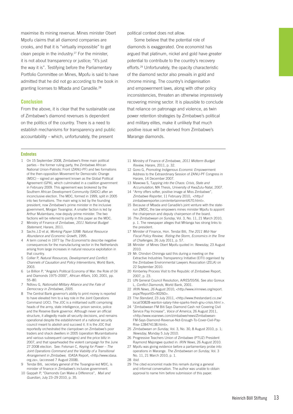maximise its mining revenue. Mines minister Obert Mpofu claims that all diamond companies are crooks, and that it is "virtually impossible" to get clean people in the industry.27 For the minister, it is not about transparency or justice; "it's just the way it is". Testifying before the Parliamentary Portfolio Committee on Mines, Mpofu is said to have admitted that he did not go according to the book in granting licenses to Mbada and Canadile.<sup>28</sup>

#### **Conclusion**

From the above, it is clear that the sustainable use of Zimbabwe's diamond revenues is dependent on the politics of the country. There is a need to establish mechanisms for transparency and public accountability – which, unfortunately, the present

political context does not allow.

Some believe that the potential role of diamonds is exaggerated. One economist has argued that platinum, nickel and gold have greater potential to contribute to the country's recovery efforts.29 Unfortunately, the opacity characteristic of the diamond sector also prevails in gold and chrome mining. The country's indigenisation and empowerment laws, along with other policy inconsistencies, threaten an otherwise impressively recovering mining sector. It is plausible to conclude that reliance on patronage and violence, as twin power retention strategies by Zimbabwe's political and military elites, make it unlikely that much positive issue will be derived from Zimbabwe's Marange diamonds.

#### **Endnotes**

- 1 On 15 September 2008, Zimbabwe's three main political parties – the former ruling party, the Zimbabwe African National Union-Patriotic Front (ZANU-PF) and two formations of the then-opposition Movement for Democratic Change (MDC) – signed an agreement known as the Global Political Agreement (GPA), which culminated in a coalition government in February 2009. This agreement was brokered by the Southern African Development Community (SADC) after an inconclusive election. The MDC, formed in 1999, split in 2005 into two formations. The main wing is led by the founding president, now Zimbabwe's prime minister in the inclusive government, Morgan Tsvangirai. A smaller faction is led by Arthur Mutambara, now deputy prime minister. The two factions will be referred to jointly in this paper as the MDC.
- 2 Ministry of Finance of Zimbabwe, *2011 National Budget Statement*, Harare, 2011.
- 3 Sachs J.D et al, *Working Paper 5398: Natural Resource Abundance and Economic Growth*, 1995.
- 4 A term coined in 1977 by *The Economist* to describe negative consequences for the manufacturing sector in the Netherlands arising from large increases in natural resource exploitation in that country.
- 5 Collier P, *Natural Resources, Development and Conflict: Channels of Causation and Policy Interventions,* World Bank, 2003.
- 6 Le Billion P, "Angola's Political Economy of War: the Role of Oil and Diamonds 1975–2000", *African Affairs*, 100, 2001, pp. 55–80.
- 7 Ndlovu G, *Nationalist-Military Alliance and the Fate of Democracy in Zimbabwe, 2005*.
- 8 The Central Bank governor's ability to print money is reported to have elevated him to a key role in the Joint Operations Command (JOC). The JOC is a militarised outfit comprising heads of the army, state intelligence, prison service, police and the Reserve Bank governor. Although never an official structure, it allegedly made all security decisions, and remains operational despite the establishment of a national security council meant to abolish and succeed it. It is the JOC that reportedly orchestrated the clampdown on Zimbabwe's poor traders and shack dwellers in 2005 (operation Murambatsvina and various subsequent campaigns) and the price blitz in 2007, and that spearheaded the violent campaign for the June 27 2008 election. See: Felsman C, *Keying for Power – The Joint Operations Command and the Viability of a Transitional Arrangement in Zimbabwe*, IDASA Report, <http://www.idasa. org.za>, (accessed 7 August 2008).
- 9 Tendai Biti, secretary general of the Tsvangirai-led MDC, is minister of finance in Zimbabwe's inclusive government.
- 10 Gappah P, "Diamonds Can Make a Difference", *Mail and Guardian*, July 23–29 2010, p. 35.
- 11 Ministry of Finance of Zimbabwe, *2011 Midterm Budget Review*, Harare, 2011, p. 32.
- 12 Gono G, *Promoting Indigenous Economic Empowerment*: Address to the Extraordinary Session of ZANU-PF Congress in Harare, 14 December 2007.
- 13 Mawowa S, T*apping into the Chaos: Crisis, State and Accumulation*, MA Thesis, University of KwaZulu-Natal, 2007.
- 14 "Army offers softer, positive image at Miss Zimbabwe", *Zimbabwe Reporter*, 11 February 2010, <http:// zimbabwereporter.com/entertainment/670.html>.
- 15 Because of Mbada and Canadile's joint venture with the staterun ZMDC, the law empowers mines minister Mpofu to appoint the chairperson and deputy chairperson of the board.
- 16 *The Zimbabwean on Sunday*, Vol. 3, No. 11, 21 March 2010, p. 1. The newspaper alleges that Mhlanga has strong links to the president.
- 17 Minister of Finance, Hon. Tendai Biti, *The 2011 Mid-Year Fiscal Policy Review; Riding the Storm, Economics in the Time of Challenges*, 26 July 2011, p. 57.
- 18 Minister of Mines Obert Mpofu quoted in: *Newsday*, 23 August 2010.
- 19 Mr. Chindori-Chininga said this during a meeting on the Extractive Industries Transparency Initiative (EITI) organised by the Zimbabwe Environmental Lawyers Association (ZELA) on 22 September 2010.
- 20 Kimberley Process Visit to the Republic of Zimbabwe Report, 2007, p. 23.
- 21 UN General Council Resolution, A/RES/55/56. See also Goreux L, *Conflict Diamonds*, World Bank, 2001.
- 22 *IRIN News, 26* August 2010, <http://www.irinnews.org/report. aspx?ReportID=90260>.
- 23 T*he Standard*, 23 July 2011, <http://www.thestandard.co.zw/ local/30828-wanton-salary-hike-sparks-fresh-gnu-crisis.html >.
- 24 "Zimbabwean FM Biti Says Diamond Cash not Covering Civil Service Pay Increase", *Voice of America*, 26 August 2011, <http://www.voanews.com/zimbabwe/news/Zimbabwean-FM-Says-Diamond-Revenue-Not-Enough-To-Cover-Civil-Pay-Rise-128474138.html>.
- 25 *Zimbabwean on Sunday*, Vol. 3, No. 30, 8 August 2010, p. 1; *Newsday*, Monday 5 July 2010.
- 26 Progressive Teachers Union of Zimbabwe (PTUZ) President Raymond Majongwe quoted in: *IRIN News*, 26 August 2010.
- 27 Mpofu was giving evidence before a parliamentary probe into operations in Marange. *The Zimbabwean on Sunday*, Vol. 3 No. 11, 21 March 2010, p. 1.
- 28 *Ibid*.
- 29 The cited economist made this remark during a general and informal conversation. The author was unable to obtain approval to name him before submission of this paper.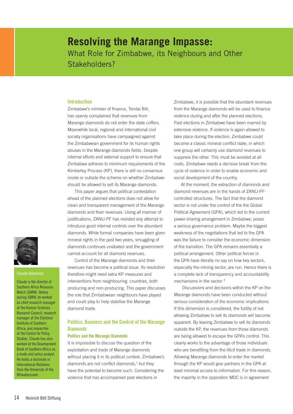### **Resolving the Marange Impasse:**  What Role for Zimbabwe, its Neighbours and Other Stakeholders?

#### **Introduction**

Zimbabwe's minister of finance, Tendai Biti, has openly complained that revenues from Marange diamonds do not enter the state coffers. Meanwhile local, regional and international civil society organisations have campaigned against the Zimbabwean government for its human rights abuses in the Marange diamonds fields. Despite internal efforts and external support to ensure that Zimbabwe adheres to minimum requirements of the Kimberley Process (KP), there is still no consensus inside or outside the scheme on whether Zimbabwe should be allowed to sell its Marange diamonds.

This paper argues that political contestation ahead of the planned elections does not allow for clean and transparent management of the Marange diamonds and their revenues. Using all manner of justifications, ZANU-PF has resisted any attempt to introduce good internal controls over the abundant diamonds. While formal companies have been given mineral rights in the past two years, smuggling of diamonds continues unabated and the government cannot account for all diamond revenues.

Control of the Marange diamonds and their revenues has become a political issue. Its resolution therefore might need extra KP measures and interventions from neighbouring countries, both producing and non-producing. This paper discusses the role that Zimbabwean neighbours have played and could play to help stabilise the Marange diamond trade.

#### **Politics, Business and the Control of the Marange Diamonds**

#### **Politics and the Marange Diamonds**

It is impossible to discuss the question of the exploitation and trade of Marange diamonds without placing it in its political context. Zimbabwe's diamonds are not conflict diamonds, $<sup>1</sup>$  but they</sup> have the potential to become such. Considering the violence that has accompanied past elections in

Zimbabwe, it is possible that the abundant revenues from the Marange diamonds will be used to finance violence during and after the planned elections. Past elections in Zimbabwe have been marred by extensive violence. If violence is again allowed to take place during the election, Zimbabwe could become a classic mineral conflict state, in which one group will certainly use diamond revenues to suppress the other. This must be avoided at all costs. Zimbabwe needs a decisive break from the cycle of violence in order to enable economic and social development of the country.

At the moment, the extraction of diamonds and diamond revenues are in the hands of ZANU-PFcontrolled structures. The fact that the diamond sector is not under the control of the the Global Political Agreement (GPA), which led to the current power-sharing arrangement in Zimbabwe, poses a serious governance problem. Maybe the biggest weakness of the negotiations that led to the GPA was the failure to consider the economic dimension of the transition. The GPA remains essentially a political arrangement. Other political forces in the GPA have literally no say on how key sectors, especially the mining sector, are run. Hence there is a complete lack of transparency and accountability mechanisms in the sector. 2

 Discussions and decisions within the KP on the Marange diamonds have been conducted without serious consideration of the economic implications. If this dimension is considered, the futility of not allowing Zimbabwe to sell its diamonds will become apparent. By leaving Zimbabwe to sell its diamonds outside the KP, the revenues from those diamonds are being allowed to escape the GPA's control. This clearly works to the advantage of those individuals who are benefiting from the illicit trade in diamonds. Allowing Marange diamonds to enter the market through the KP would give partners in the GPA at least minimal access to information. For this reason, the majority in the opposition MDC is in agreement



#### **Claude Kabemba**

Claude is the director of Southern Africa Resource Watch (SARW). Before joining SARW, he worked as chief research manager at the Human Sciences Research Council; research manager at the Electoral Institute of Southern Africa; and researcher at the Centre for Policy Studies. Claude has also worked at the Development Bank of Southern Africa as a trade and policy analyst. He holds a doctorate in International Relations from the University of the Witwatersrand.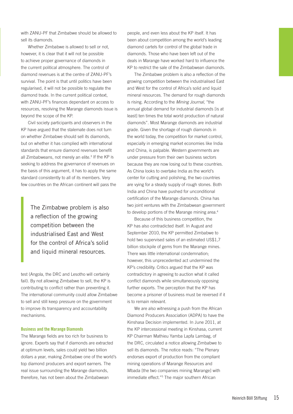with ZANU-PF that Zimbabwe should be allowed to sell its diamonds.

Whether Zimbabwe is allowed to sell or not, however, it is clear that it will not be possible to achieve proper governance of diamonds in the current political atmosphere. The control of diamond revenues is at the centre of ZANU-PF's survival. The point is that until politics have been regularised, it will not be possible to regulate the diamond trade. In the current political context, with ZANU-PF's finances dependant on access to resources, resolving the Marange diamonds issue is beyond the scope of the KP.

Civil society participants and observers in the KP have argued that the stalemate does not turn on whether Zimbabwe should sell its diamonds, but on whether it has complied with international standards that ensure diamond revenues benefit all Zimbabweans, not merely an elite.<sup>3</sup> If the KP is seeking to address the governance of revenues on the basis of this argument, it has to apply the same standard consistently to all of its members. Very few countries on the African continent will pass the

> The Zimbabwe problem is also a reflection of the growing competition between the industrialised East and West for the control of Africa's solid and liquid mineral resources.

test (Angola, the DRC and Lesotho will certainly fail). By not allowing Zimbabwe to sell, the KP is contributing to conflict rather than preventing it. The international community could allow Zimbabwe to sell and still keep pressure on the government to improve its transparency and accountability mechanisms.

#### **Business and the Marange Diamonds**

The Marange fields are too rich for business to ignore. Experts say that if diamonds are extracted at optimum levels, sales could yield two billion dollars a year, making Zimbabwe one of the world's top diamond producers and export earners. The real issue surrounding the Marange diamonds, therefore, has not been about the Zimbabwean

people, and even less about the KP itself. It has been about competition among the world's leading diamond cartels for control of the global trade in diamonds. Those who have been left out of the deals in Marange have worked hard to influence the KP to restrict the sale of the Zimbabwean diamonds.

The Zimbabwe problem is also a reflection of the growing competition between the industrialised East and West for the control of Africa's solid and liquid mineral resources. The demand for rough diamonds is rising. According to the *Mining Journal*, "the annual global demand for industrial diamonds [is at least] ten times the total world production of natural diamonds". Most Marange diamonds are industrial grade. Given the shortage of rough diamonds in the world today, the competition for market control, especially in emerging market economies like India and China, is palpable. Western governments are under pressure from their own business sectors because they are now losing out to these countries. As China looks to overtake India as the world's center for cutting and polishing, the two countries are vying for a steady supply of rough stones. Both India and China have pushed for unconditional certification of the Marange diamonds. China has two joint ventures with the Zimbabwean government to develop portions of the Marange mining area.<sup>4</sup>

Because of this business competition, the KP has also contradicted itself. In August and September 2010, the KP permitted Zimbabwe to hold two supervised sales of an estimated US\$1,7 billion stockpile of gems from the Marange mines. There was little international condemnation; however, this unprecedented act undermined the KP's credibility. Critics argued that the KP was contradictory in agreeing to auction what it called conflict diamonds while simultaneously opposing further exports. The perception that the KP has become a prisoner of business must be reversed if it is to remain relevant.

We are also witnessing a push from the African Diamond Producers Association (ADPA) to have the Kinshasa Decision implemented. In June 2011, at the KP intercessional meeting in Kinshasa, current KP Chairman Mathieu Yamba Lapfa Lambag, of the DRC, circulated a notice allowing Zimbabwe to sell its diamonds. The notice reads: "The Plenary endorses export of production from the compliant mining operations of Marange Resources and Mbada [the two companies mining Marange] with immediate effect."<sup>5</sup> The major southern African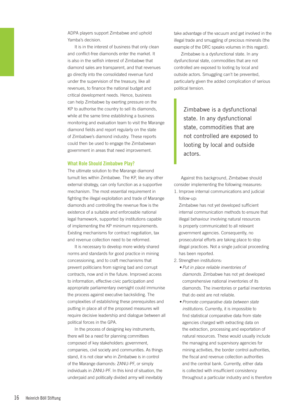ADPA players support Zimbabwe and uphold Yamba's decision.

It is in the interest of business that only clean and conflict-free diamonds enter the market. It is also in the selfish interest of Zimbabwe that diamond sales are transparent, and that revenues go directly into the consolidated revenue fund under the supervision of the treasury, like all revenues, to finance the national budget and critical development needs. Hence, business can help Zimbabwe by exerting pressure on the KP to authorise the country to sell its diamonds, while at the same time establishing a business monitoring and evaluation team to visit the Marange diamond fields and report regularly on the state of Zimbabwe's diamond industry. These reports could then be used to engage the Zimbabwean government in areas that need improvement.

#### **What Role Should Zimbabwe Play?**

The ultimate solution to the Marange diamond tumult lies within Zimbabwe. The KP, like any other external strategy, can only function as a supportive mechanism. The most essential requirement in fighting the illegal exploitation and trade of Marange diamonds and controlling the revenue flow is the existence of a suitable and enforceable national legal framework, supported by institutions capable of implementing the KP minimum requirements. Existing mechanisms for contract negotiation, tax and revenue collection need to be reformed.

It is necessary to develop more widely shared norms and standards for good practice in mining concessioning, and to craft mechanisms that prevent politicians from signing bad and corrupt contracts, now and in the future. Improved access to information, effective civic participation and appropriate parliamentary oversight could immunise the process against executive backsliding. The complexities of establishing these prerequisites and putting in place all of the proposed measures will require decisive leadership and dialogue between all political forces in the GPA.

In the process of designing key instruments, there will be a need for planning committees composed of key stakeholders: government, companies, civil society and communities. As things stand, it is not clear who in Zimbabwe is in control of the Marange diamonds: ZANU-PF, or simply individuals in ZANU-PF. In this kind of situation, the underpaid and politically divided army will inevitably

take advantage of the vacuum and get involved in the illegal trade and smuggling of precious minerals (the example of the DRC speaks volumes in this regard).

Zimbabwe is a dysfunctional state. In any dysfunctional state, commodities that are not controlled are exposed to looting by local and outside actors. Smuggling can't be prevented, particularly given the added complication of serious political tension.

Zimbabwe is a dysfunctional state. In any dysfunctional state, commodities that are not controlled are exposed to looting by local and outside actors.

Against this background, Zimbabwe should consider implementing the following measures:

1. Improve internal communications and judicial follow-up:

Zimbabwe has not yet developed sufficient internal communication methods to ensure that illegal behaviour involving natural resources is properly communicated to all relevant government agencies. Consequently, no prosecutorial efforts are taking place to stop illegal practices. Not a single judicial proceeding has been reported.

- 2. Strengthen institutions:
	- • *Put in place reliable inventories of diamonds.* Zimbabwe has not yet developed comprehensive national inventories of its diamonds. The inventories or partial inventories that do exist are not reliable.
	- • *Promote comparative data between state institutions.* Currently, it is impossible to find statistical comparative data from state agencies charged with extracting data on the extraction, processing and exportation of natural resources. These would usually include the managing and supervisory agencies for mining activities, the border control authorities, the fiscal and revenue collection authorities and the central bank. Currently, either data is collected with insufficient consistency throughout a particular industry and is therefore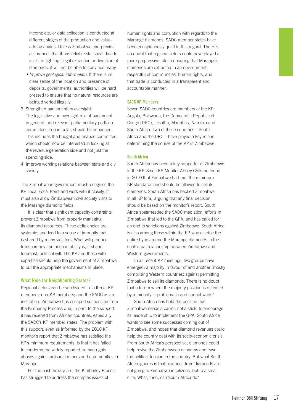incomplete, or data collection is conducted at different stages of the production and valueadding chains. Unless Zimbabwe can provide assurances that it has reliable statistical data to assist in fighting illegal extraction or diversion of diamonds, it will not be able to convince many.

- *Improve geological information*. If there is no clear sense of the location and presence of deposits, governmental authorities will be hard pressed to ensure that no natural resources are being diverted illegally.
- 3. Strengthen parliamentary oversight: The legislative and oversight role of parliament in general, and relevant parliamentary portfolio committees in particular, should be enhanced. This includes the budget and finance committee, which should now be interested in looking at the revenue generation side and not just the spending side.
- 4. Improve working relations between state and civil society.

The Zimbabwean government must recognise the KP Local Focal Point and work with it closely. It must also allow Zimbabwean civil society visits to the Marange diamond fields.

It is clear that significant capacity constraints prevent Zimbabwe from properly managing its diamond resources. These deficiencies are systemic, and lead to a sense of impunity that is shared by many violators. What will produce transparency and accountability is, first and foremost, political will. The KP and those with expertise should help the government of Zimbabwe to put the appropriate mechanisms in place.

#### **What Role for Neighbouring States?**

Regional actors can be subdivided in to three: KP members; non-KP members; and the SADC as an institution. Zimbabwe has escaped suspension from the Kimberley Process due, in part, to the support it has received from African countries, especially the SADC's KP member states. The problem with this support, even as informed by the 2010 KP monitor's report that Zimbabwe has satisfied the KP's minimum requirements, is that it has failed to condemn the widely reported human rights abuses against artisanal miners and communities in Marange.

For the past three years, the Kimberley Process has struggled to address the complex issues of

human rights and corruption with regards to the Marange diamonds. SADC member states have been conspicuously quiet in this regard. There is no doubt that regional actors could have played a more progressive role in ensuring that Marange's diamonds are extracted in an environment respectful of communities' human rights, and that trade is conducted in a transparent and accountable manner.

#### **SADC KP Members**

Seven SADC countries are members of the KP: Angola, Botswana, the Democratic Republic of Congo (DRC), Lesotho, Mauritius, Namibia and South Africa. Two of these countries – South Africa and the DRC – have played a key role in determining the course of the KP in Zimbabwe.

#### **South Africa**

South Africa has been a key supporter of Zimbabwe in the KP. Since KP Monitor Abbey Chikane found in 2010 that Zimbabwe had met the minimum KP standards and should be allowed to sell its diamonds, South Africa has backed Zimbabwe in all KP fora, arguing that any final decision should be based on the monitor's report. South Africa spearheaded the SADC mediation efforts in Zimbabwe that led to the GPA, and has called for an end to sanctions against Zimbabwe. South Africa is also among those within the KP who ascribe the entire hype around the Marange diamonds to the conflictual relationship between Zimbabwe and Western governments.

In all recent KP meetings, two groups have emerged: a majority in favour of and another (mostly comprising Western countries) against permitting Zimbabwe to sell its diamonds. There is no doubt that a forum where the majority position is defeated by a minority is problematic and cannot work.<sup>7</sup>

South Africa has held the position that Zimbabwe needs a carrot, not a stick, to encourage its leadership to implement the GPA. South Africa wants to see some successes coming out of Zimbabwe, and hopes that diamond revenues could help the country deal with its socio-economic crisis. From South Africa's perspective, diamonds could help revive the Zimbabwean economy and ease the political tension in the country. But what South Africa ignores is that revenues from diamonds are not going to Zimbabwean citizens, but to a small elite. What, then, can South Africa do?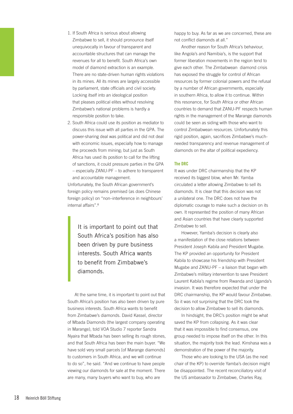- 1. If South Africa is serious about allowing Zimbabwe to sell, it should pronounce itself unequivocally in favour of transparent and accountable structures that can manage the revenues for all to benefit. South Africa's own model of diamond extraction is an example. There are no state-driven human rights violations in its mines. All its mines are largely accessible by parliament, state officials and civil society. Locking itself into an ideological position that pleases political elites without resolving Zimbabwe's national problems is hardly a responsible position to take.
- 2. South Africa could use its position as mediator to discuss this issue with all parties in the GPA. The power-sharing deal was political and did not deal with economic issues, especially how to manage the proceeds from mining; but just as South Africa has used its position to call for the lifting of sanctions, it could pressure parties in the GPA – especially ZANU-PF – to adhere to transparent and accountable management.

Unfortunately, the South African government's foreign policy remains premised (as does Chinese foreign policy) on "non–interference in neighbours' internal affairs".8

> It is important to point out that South Africa's position has also been driven by pure business interests. South Africa wants to benefit from Zimbabwe's diamonds.

At the same time, it is important to point out that South Africa's position has also been driven by pure business interests. South Africa wants to benefit from Zimbabwe's diamonds. David Kassel, director of Mbada Diamonds (the largest company operating in Marange), told VOA Studio 7 reporter Sandra Nyaira that Mbada has been selling its rough stones, and that South Africa has been the main buyer. "We have sold very small parcels [of Marange diamonds] to customers in South Africa, and we will continue to do so", he said. "And we continue to have people viewing our diamonds for sale at the moment. There are many, many buyers who want to buy, who are

happy to buy. As far as we are concerned, these are not conflict diamonds at all."

Another reason for South Africa's behaviour, like Angola's and Namibia's, is the support that former liberation movements in the region tend to give each other. The Zimbabwean diamond crisis has exposed the struggle for control of African resources by former colonial powers and the refusal by a number of African governments, especially in southern Africa, to allow it to continue. Within this resonance, for South Africa or other African countries to demand that ZANU-PF respects human rights in the management of the Marange diamonds could be seen as siding with those who want to control Zimbabwean resources. Unfortunately this rigid position, again, sacrifices Zimbabwe's muchneeded transparency and revenue management of diamonds on the altar of political expediency.

#### **The DRC**

It was under DRC chairmanship that the KP received its biggest blow, when Mr. Yamba circulated a letter allowing Zimbabwe to sell its diamonds. It is clear that this decision was not a unilateral one. The DRC does not have the diplomatic courage to make such a decision on its own. It represented the position of many African and Asian countries that have clearly supported Zimbabwe to sell.

However, Yamba's decision is clearly also a manifestation of the close relations between President Joseph Kabila and President Mugabe. The KP provided an opportunity for President Kabila to showcase his friendship with President Mugabe and ZANU-PF – a liaison that began with Zimbabwe's military intervention to save President Laurent Kabila's regime from Rwanda and Uganda's invasion. It was therefore expected that under the DRC chairmanship, the KP would favour Zimbabwe. So it was not surprising that the DRC took the decision to allow Zimbabwe to sell its diamonds.

In hindsight, the DRC's position might be what saved the KP from collapsing. As it was clear that it was impossible to find consensus, one group needed to impose itself on the other. In this situation, the majority took the lead. Kinshasa was a demonstration of the power of the majority.

Those who are looking to the USA (as the next chair of the KP) to override Yamba's decision might be disappointed. The recent reconciliatory visit of the US ambassador to Zimbabwe, Charles Ray,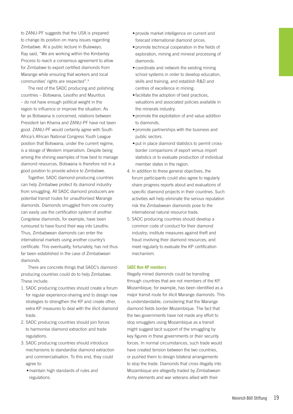to ZANU-PF suggests that the USA is prepared to change its position on many issues regarding Zimbabwe. At a public lecture in Bulawayo, Ray said, "We are working within the Kimberley Process to reach a consensus agreement to allow for Zimbabwe to export certified diamonds from Marange while ensuring that workers and local communities' rights are respected".9

The rest of the SADC producing and polishing countries – Botswana, Lesotho and Mauritius – do not have enough political weight in the region to influence or improve the situation. As far as Botswana is concerned, relations between President Ian Khama and ZANU-PF have not been good. ZANU-PF would certainly agree with South Africa's African National Congress Youth League position that Botswana, under the current regime, is a stooge of Western imperialism. Despite being among the shining examples of how best to manage diamond resources, Botswana is therefore not in a good position to provide advice to Zimbabwe.

Together, SADC diamond-producing countries can help Zimbabwe protect its diamond industry from smuggling. All SADC diamond producers are potential transit routes for unauthorised Marange diamonds. Diamonds smuggled from one country can easily use the certification system of another. Congolese diamonds, for example, have been rumoured to have found their way into Lesotho. Thus, Zimbabwean diamonds can enter the international markets using another country's certificate. This eventuality, fortunately, has not thus far been established in the case of Zimbabwean diamonds.

There are concrete things that SADC's diamondproducing countries could do to help Zimbabwe. These include:

- 1. SADC producing countries should create a forum for regular experience-sharing and to design new strategies to strengthen the KP and create other, extra KP measures to deal with the illicit diamond trade.
- 2. SADC producing countries should join forces to harmonise diamond extraction and trade regulations.
- 3. SADC producing countries should introduce mechanisms to standardise diamond extraction and commercialisation. To this end, they could agree to:
	- maintain high standards of rules and regulations.
- provide market intelligence on current and forecast international diamond prices.
- promote technical cooperation in the fields of exploration, mining and mineral processing of diamonds.
- coordinate and network the existing mining school systems in order to develop education, skills and training, and establish R&D and centres of excellence in mining.
- facilitate the adoption of best practices, valuations and associated policies available in the minerals industry.
- promote the exploitation of and value addition to diamonds.
- promote partnerships with the business and public sectors.
- put in place diamond statistics to permit crossborder comparisons of export versus import statistics or to evaluate production of individual member states in the region.
- 4. In addition to these general objectives, the forum participants could also agree to regularly share progress reports about and evaluations of specific diamond projects in their countries. Such activities will help eliminate the serious reputation risk the Zimbabwean diamonds pose to the international natural resource trade.
- 5. SADC producing countries should develop a common code of conduct for their diamond industry; institute measures against theft and fraud involving their diamond resources; and meet regularly to evaluate the KP certification mechanism.

#### **SADC Non-KP members**

Illegally mined diamonds could be transiting through countries that are not members of the KP. Mozambique, for example, has been identified as a major transit route for illicit Marange diamonds. This is understandable, considering that the Marange diamond fields border Mozambique. The fact that the two governments have not made any effort to stop smugglers using Mozambique as a transit might suggest tacit support of the smuggling by key figures in these governments or their security forces. In normal circumstances, such trade would have created tension between the two countries, or pushed them to design bilateral arrangements to stop the trade. Diamonds that cross illegally into Mozambique are allegedly traded by Zimbabwean Army elements and war veterans allied with their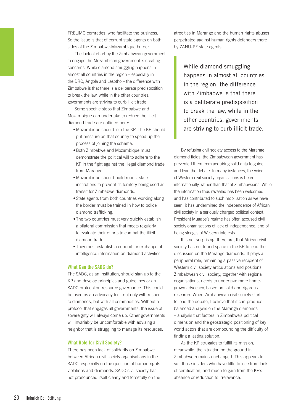FRELIMO comrades, who facilitate the business. So the issue is that of corrupt state agents on both sides of the Zimbabwe-Mozambique border.

The lack of effort by the Zimbabwean government to engage the Mozambican government is creating concerns. While diamond smuggling happens in almost all countries in the region – especially in the DRC, Angola and Lesotho – the difference with Zimbabwe is that there is a deliberate predisposition to break the law, while in the other countries, governments are striving to curb illicit trade.

Some specific steps that Zimbabwe and Mozambique can undertake to reduce the illicit diamond trade are outlined here:

- Mozambique should join the KP. The KP should put pressure on that country to speed up the process of joining the scheme.
- Both Zimbabwe and Mozambique must demonstrate the political will to adhere to the KP in the fight against the illegal diamond trade from Marange.
- • Mozambique should build robust state institutions to prevent its territory being used as transit for Zimbabwe diamonds.
- State agents from both countries working along the border must be trained in how to police diamond trafficking.
- The two countries must very quickly establish a bilateral commission that meets regularly to evaluate their efforts to combat the illicit diamond trade.
- They must establish a conduit for exchange of intelligence information on diamond activities.

#### **What Can the SADC do?**

The SADC, as an institution, should sign up to the KP and develop principles and guidelines or an SADC protocol on resource governance. This could be used as an advocacy tool, not only with respect to diamonds, but with all commodities. Without a protocol that engages all governments, the issue of sovereignty will always come up. Other governments will invariably be uncomfortable with advising a neighbor that is struggling to manage its resources.

#### **What Role for Civil Society?**

There has been lack of solidarity on Zimbabwe between African civil society organisations in the SADC, especially on the question of human rights violations and diamonds. SADC civil society has not pronounced itself clearly and forcefully on the atrocities in Marange and the human rights abuses perpetrated against human rights defenders there by ZANU-PF state agents.

While diamond smuggling happens in almost all countries in the region, the difference with Zimbabwe is that there is a deliberate predisposition to break the law, while in the other countries, governments are striving to curb illicit trade.

By refusing civil society access to the Marange diamond fields, the Zimbabwean government has prevented them from acquiring solid data to guide and lead the debate. In many instances, the voice of Western civil society organisations is heard internationally, rather than that of Zimbabweans. While the information thus revealed has been welcomed, and has contributed to such mobilisation as we have seen, it has undermined the independence of African civil society in a seriously charged political context. President Mugabe's regime has often accused civil society organisations of lack of independence, and of being stooges of Western interests.

It is not surprising, therefore, that African civil society has not found space in the KP to lead the discussion on the Marange diamonds. It plays a peripheral role, remaining a passive recipient of Western civil society articulations and positions. Zimbabwean civil society, together with regional organisations, needs to undertake more homegrown advocacy, based on solid and rigorous research. When Zimbabwean civil society starts to lead the debate, I believe that it can produce balanced analysis on the Marange diamonds – analysis that factors in Zimbabwe's political dimension and the geostrategic positioning of key world actors that are compounding the difficulty of finding a lasting solution.

As the KP struggles to fulfill its mission, meanwhile, the situation on the ground in Zimbabwe remains unchanged. This appears to suit those insiders who have little to lose from lack of certification, and much to gain from the KP's absence or reduction to irrelevance.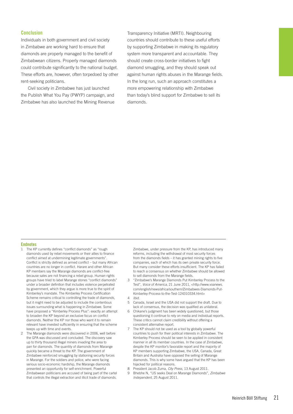#### **Conclusion**

Individuals in both government and civil society in Zimbabwe are working hard to ensure that diamonds are properly managed to the benefit of Zimbabwean citizens. Properly managed diamonds could contribute significantly to the national budget. These efforts are, however, often torpedoed by other rent-seeking politicians.

Civil society in Zimbabwe has just launched the Publish What You Pay (PWYP) campaign, and Zimbabwe has also launched the Mining Revenue

Transparency Initiative (MRTI). Neighbouring countries should contribute to these useful efforts by supporting Zimbabwe in making its regulatory system more transparent and accountable. They should create cross-border initiatives to fight diamond smuggling, and they should speak out against human rights abuses in the Marange fields. In the long run, such an approach constitutes a more empowering relationship with Zimbabwe than today's blind support for Zimbabwe to sell its diamonds.

#### **Endnotes**

- 1 The KP currently defines "conflict diamonds" as "rough diamonds used by rebel movements or their allies to finance conflict aimed at undermining legitimate governments". Conflict is strictly defined as armed conflict – but many African countries are no longer in conflict. Harare and other African KP members say the Marange diamonds are conflict-free because sales are not financing a rebel group. Human rights groups have tried to label Marange stones "conflict diamonds" under a broader definition that includes violence perpetrated by government, which they argue is more true to the spirit of Kimberley's mandate. The Kimberley Process Certification Scheme remains critical to controlling the trade of diamonds, but it might need to be adjusted to include the contentious issues surrounding what is happening in Zimbabwe. Some have proposed a "Kimberley Process Plus": exactly an attempt to broaden the KP beyond an exclusive focus on conflict diamonds. Neither the KP nor those who want it to remain relevant have invested sufficiently in ensuring that the scheme keeps up with time and events.
- 2 The Marange diamonds were discovered in 2006, well before the GPA was discussed and concluded. The discovery saw up to thirty thousand illegal miners invading the area to pan for diamonds. The quantity of diamonds from Marange quickly became a threat to the KP. The government of Zimbabwe reinforced smuggling by stationing security forces in Marange. For the soldiers and police, who were facing serious socio-economic hardship, the Marange diamonds presented an opportunity for self-enrichment. Powerful Zimbabwean politicians are accused of being part of the cartel that controls the illegal extraction and illicit trade of diamonds.

Zimbabwe, under pressure from the KP, has introduced many reforms, including the withdrawal of most security forces from the diamonds fields – it has granted mining rights to five companies, each of which has its own private security force. But many consider these efforts insufficient. The KP has failed to reach a consensus on whether Zimbabwe should be allowed to sell diamonds from the Marange fields.

- 3 "Zimbabwe's Marange Diamonds Put Kimberley Process to the Test", *Voice of America*, 21 June 2011, <http://www.voanews. com/english/news/africa/southern/Zimbabwes-Diamonds-Put-Kimberley-Process-to-the-Test-124310334.html>
- 4 *Ibid*.
- 5 Canada, Israel and the USA did not support the draft. Due to lack of consensus, the decision was qualified as unilateral.
- 6 Chikane's judgment has been widely questioned, but those questioning it continue to rely on media and individual reports. These critics cannot claim credibility without offering a consistent alternative report.
- 7 The KP should not be used as a tool by globally powerful countries to push for their political interests in Zimbabwe. The Kimberley Process should be seen to be applied in consistent manner in all its member countries. In the case of Zimbabwe, despite the KP monitor's favorable report and the majority of KP members supporting Zimbabwe, the USA, Canada, Great Britain and Australia have opposed the selling of Marange diamonds. This is why some have argued that the KP has been hijacked for political reasons.
- 8 President Jacob Zuma, *City Press*, 13 August 2011.
- 9 Bhebhe N, "US seeks Deal on Marange Diamonds", *Zimbabwe Independent*, 25 August 2011.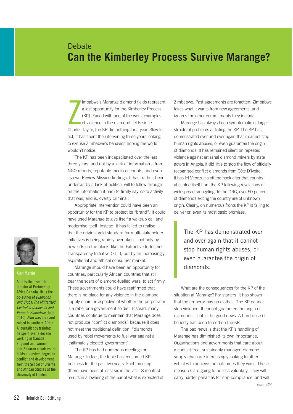### **Debate Can the Kimberley Process Survive Marange?**

 $\sum$ imbabwe's Marange diamond fields represent a lost opportunity for the Kimberley Process (KP). Faced with one of the worst examples of violence in the diamond fields since Charles Taylor, the KP did nothing for a year. Slow to act, it has spent the intervening three years looking to excuse Zimbabwe's behavior, hoping the world wouldn't notice.

The KP has been incapacitated over the last three years, and not by a lack of information – from NGO reports, reputable media accounts, and even its own Review Mission findings. It has, rather, been undercut by a lack of political will to follow through on the information it had; to firmly say *no* to activity that was, and is, overtly criminal.

Appropriate intervention could have been an opportunity for the KP to protect its "brand". It could have used Marange to give itself a wakeup call and modernise itself. Instead, it has failed to realise that the original gold standard for multi-stakeholder initiatives is being rapidly overtaken – not only by new kids on the block, like the Extractive Industries Transparency Initiative (EITI), but by an increasingly aspirational and ethical consumer market.

Marange should have been an opportunity for countries, particularly African countries that still bear the scars of diamond-fuelled wars, to act firmly. These governments could have reaffirmed that there is no place for any violence in the diamond supply chain, irrespective of whether the perpetrator is a rebel or a government soldier. Instead, many countries continue to maintain that Marange does not produce "conflict diamonds" because it does not meet the traditional definition: "diamonds used by rebel movements to fuel war against a legitimately elected government".

The KP has had numerous meetings on Marange. In fact, the topic has consumed KP business for the past two years. Each meeting (there have been at least six in the last 18 months) results in a lowering of the bar of what is expected of Zimbabwe. Past agreements are forgotten. Zimbabwe takes what it wants from new agreements, and ignores the other commitments they include.

Marange has always been symptomatic of larger structural problems afflicting the KP. The KP has demonstrated over and over again that it cannot stop human rights abuses, or even guarantee the origin of diamonds. It has remained silent on repeated violence against artisanal diamond miners by state actors in Angola; it did little to stop the flow of officially recognised conflict diamonds from Côte D'Ivoire; it has let Venezuela off the hook after that country absented itself from the KP following revelations of widespread smuggling. In the DRC, over 50 percent of diamonds exiting the country are of unknown origin. Clearly, on numerous fronts the KP is failing to deliver on even its most basic promises.

The KP has demonstrated over and over again that it cannot stop human rights abuses, or even guarantee the origin of diamonds.

What are the consequences for the KP of the situation at Marange? For starters, it has shown that the emperor has no clothes. The KP cannot stop violence. It cannot guarantee the origin of diamonds. That is the good news. A hard dose of honesty has been forced on the KP.

The bad news is that the KP's handling of Marange has diminished its own importance. Organisations and governments that care about a conflict-free, sustainably managed diamond supply chain are increasingly looking to other vehicles to achieve the outcomes they want. These measures are going to be less voluntary. They will carry harder penalties for non-compliance, and will



#### **Alan Martin**

Alan is the research director at Partnership Africa Canada. He is the co-author of *Diamonds and Clubs: The Militarized Control of Diamonds and Power in Zimbabwe* (June 2010). Alan was born and raised in southern Africa. A journalist by training, he spent over a decade working in Canada, England and various sub-Saharan countries. He holds a masters degree in conflict and development from the School of Oriental and African Studies at the University of London.

*cont. p24*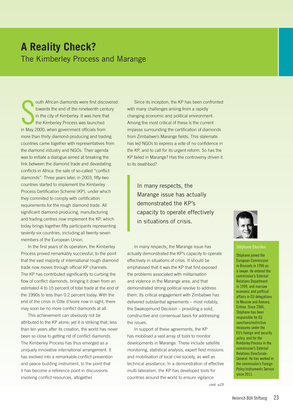### **A Reality Check?**  The Kimberley Process and Marange

S<br>in May 2 outh African diamonds were first discovered towards the end of the nineteenth century in the city of Kimberley. It was here that the Kimberley Process was launched in May 2000, when government officials from more than thirty diamond-producing and trading countries came together with representatives from the diamond industry and NGOs. Their agenda was to initiate a dialogue aimed at breaking the link between the diamond trade and devastating conflicts in Africa: the sale of so-called "conflict diamonds". Three years later, in 2003, fifty-two countries started to implement the Kimberley Process Certification Scheme (KP), under which they commited to comply with certification requirements for the rough diamond trade. All significant diamond-producing, manufacturing and trading centres now implement the KP, which today brings together fifty participants representing seventy-six countries, including all twenty-seven members of the European Union.

In the first years of its operation, the Kimberley Process proved remarkably successful, to the point that the vast majority of international rough diamond trade now moves through official KP channels. The KP has contributed significantly to curbing the flow of conflict diamonds, bringing it down from an estimated 4 to 15 percent of total trade at the end of the 1990s to less than 0.2 percent today. With the end of the crisis in Côte d'Ivoire now in sight, there may soon be no more conflict diamonds at all.

This achievement can obviously not be attributed to the KP alone; yet it is striking that, less than ten years after its creation, the world has never been so close to getting rid of conflict diamonds. The Kimberley Process has thus emerged as a uniquely innovative international arrangement. It has evolved into a remarkable conflict-prevention and peace-building instrument, to the point that it has become a reference point in discussions involving conflict resources, altogether.

Since its inception, the KP has been confronted with many challenges arising from a rapidly changing economic and political environment. Among the most critical of these is the current impasse surrounding the certification of diamonds from Zimbabwe's Marange fields. This stalemate has led NGOs to express a vote of no confidence in the KP, and to call for its urgent reform. So has the KP failed in Marange? Has the controversy driven it to its deathbed?

In many respects, the Marange issue has actually demonstrated the KP's capacity to operate effectively in situations of crisis.

In many respects, the Marange issue has actually demonstrated the KP's capacity to operate effectively in situations of crisis. It should be emphasised that it was the KP that first exposed the problems associated with militarisation and violence in the Marange area, and that demonstrated strong political resolve to address them. Its critical engagement with Zimbabwe has delivered substantial agreements – most notably, the Swakopmund Decision – providing a solid, constructive and consensual basis for addressing the issues.

In support of these agreements, the KP has mobilised a vast array of tools to monitor developments in Marange. These include satellite monitoring, statistical analysis, expert field missions and mobilisation of local civil society, as well as technical assistance. In a demonstration of effective multi-lateralism, the KP has developed tools for countries around the world to ensure vigilance



#### **Stéphane Chardon**

Stéphane joined the European Commission in Brussels in 1996 as a lawyer. He entered the commission's External Relations Department in 1999, and oversaw economic and political affairs in EU delegations to Moscow and Asmara, Eritrea. Since 2006, Stéphane has been responsible for EU sanctions/restrictive measures under the EU's foreign and security policy, and for the Kimberley Process in the commission's External Relations Directorate-General. He has worked in the commission's Foreign Policy Instruments Service since 2011.

*cont. p25*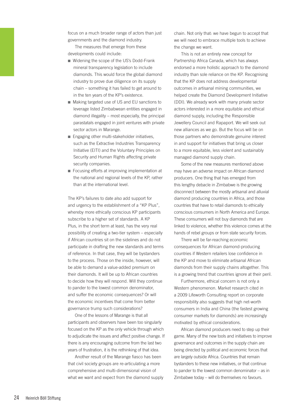focus on a much broader range of actors than just governments and the diamond industry.

The measures that emerge from these developments could include:

- Widening the scope of the US's Dodd-Frank mineral transparency legislation to include diamonds. This would force the global diamond industry to prove due diligence on its supply chain – something it has failed to get around to in the ten years of the KP's existence.
- Making targeted use of US and EU sanctions to leverage listed Zimbabwean entities engaged in diamond illegality – most especially, the principal parastatals engaged in joint ventures with private sector actors in Marange.
- Engaging other multi-stakeholder initiatives, such as the Extractive Industries Transparency Initiative (EITI) and the Voluntary Principles on Security and Human Rights affecting private security companies.
- Focusing efforts at improving implementation at the national and regional levels of the KP, rather than at the international level.

The KP's failures to date also add support for and urgency to the establishment of a "KP Plus", whereby more ethically conscious KP participants subscribe to a higher set of standards. A KP Plus, in the short term at least, has the very real possibility of creating a two-tier system – especially if African countries sit on the sidelines and do not participate in drafting the new standards and terms of reference. In that case, they will be bystanders to the process. Those on the inside, however, will be able to demand a value-added premium on their diamonds. It will be up to African countries to decide how they will respond. Will they continue to pander to the lowest common denominator, and suffer the economic consequences? Or will the economic incentives that come from better governance trump such considerations?

One of the lessons of Marange is that all participants and observers have been too singularly focused on the KP as the only vehicle through which to adjudicate the issues and affect positive change. If there is any encouraging outcome from the last two years of frustration, it is the rethinking of that idea.

Another result of the Marange fiasco has been that civil society groups are re-articulating a more comprehensive and multi-dimensional vision of what we want and expect from the diamond supply chain. Not only that: we have begun to accept that we will need to embrace multiple tools to achieve the change we want.

This is not an entirely new concept for Partnership Africa Canada, which has always endorsed a more holistic approach to the diamond industry than sole reliance on the KP. Recognising that the KP does not address developmental outcomes in artisanal mining communities, we helped create the Diamond Development Initiative (DDI). We already work with many private sector actors interested in a more equitable and ethical diamond supply, including the Responsible Jewellery Council and Rapaport. We will seek out new alliances as we go. But the focus will be on those partners who demonstrate genuine interest in and support for initiatives that bring us closer to a more equitable, less violent and sustainably managed diamond supply chain.

Some of the new measures mentioned above may have an adverse impact on African diamond producers. One thing that has emerged from this lengthy debacle in Zimbabwe is the growing disconnect between the mostly artisanal and alluvial diamond producing countries in Africa, and those countries that have to retail diamonds to ethically conscious consumers in North America and Europe. These consumers will not buy diamonds that are linked to violence, whether this violence comes at the hands of rebel groups or from state security forces.

There will be far-reaching economic consequences for African diamond-producing countries if Western retailers lose confidence in the KP and move to eliminate artisanal African diamonds from their supply chains altogether. This is a growing trend that countries ignore at their peril.

Furthermore, ethical concern is not only a Western phenomenon. Market research cited in a 2009 Lifeworth Consulting report on corporate responsibility also suggests that high net-worth consumers in India and China (the fastest growing consumer markets for diamonds) are increasingly motivated by ethical considerations.

African diamond producers need to step up their game. Many of the new tools and initiatives to improve governance and outcomes in the supply chain are being directed by political and economic forces that are largely outside Africa. Countries that remain bystanders to these new initiatives, or that continue to pander to the lowest common denominator – as in Zimbabwe today – will do themselves no favours.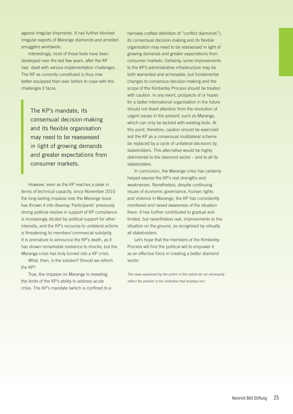against irregular shipments. It has further blocked irregular exports of Marange diamonds and arrested smugglers worldwide.

Interestingly, most of those tools have been developed over the last few years, after the KP had dealt with various implementation challenges. The KP as currently constituted is thus now better equipped than ever before to cope with the challenges it faces.

The KP's mandate, its consensual decision-making and its flexible organisation may need to be reassessed in light of growing demands and greater expectations from consumer markets.

However, even as the KP reaches a peak in terms of technical capacity, since November 2010 the long-lasting impasse over the Marange issue has thrown it into disarray. Participants' previously strong political resolve in support of KP compliance is increasingly diluted by political support for other interests, and the KP's recourse to unilateral actions is threatening its members'commercial solidarity. It is premature to announce the KP's death, as it has shown remarkable resilience to shocks; but the Marange crisis has truly turned into a KP crisis.

What, then, is the solution? Should we reform the KP?

True, the impasse on Marange is revealing the limits of the KP's ability to address acute crisis. The KP's mandate (which is confined to a

narrowly crafted definition of "conflict diamonds"), its consensual decision-making and its flexible organisation may need to be reassessed in light of growing demands and greater expectations from consumer markets. Certainly, some improvements to the KP's administrative infrastructure may be both warranted and achievable; but fundamental changes to consensus decision-making and the scope of the Kimberley Process should be treated with caution. In any event, prospects of or hopes for a better international organisation in the future should not divert attention from the resolution of urgent issues in the present, such as Marange, which can only be tackled with existing tools. At this point, therefore, caution should be exercised lest the KP as a consensual multilateral scheme be replaced by a cycle of unilateral decisions by stakeholders. This alternative would be highly detrimental to the diamond sector – and to all its stakeholders.

In conclusion, the Marange crisis has certainly helped expose the KP's real strengths and weaknesses. Nonetheless, despite continuing issues of economic governance, human rights and violence in Marange, the KP has consistently monitored and raised awareness of the situation there. It has further contributed to gradual and limited, but nevertheless real, improvements to the situation on the ground, as recognised by virtually all stakeholders.

Let's hope that the members of the Kimberley Process will find the political will to empower it as an effective force in creating a better diamond sector.

*The views expressed by the author in this article do not necessarily reflect the position of the institution that employs him.*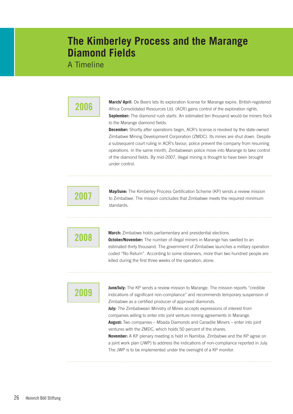### **The Kimberley Process and the Marange Diamond Fields**

A Timeline

### **2006**

**March/ April**: De Beers lets its exploration license for Marange expire. British-registered Africa Consolidated Resources Ltd. (ACR) gains control of the exploration rights. **September:** The diamond rush starts. An estimated ten thousand would-be miners flock to the Marange diamond fields.

**December:** Shortly after operations begin, ACR's license is revoked by the state-owned Zimbabwe Mining Development Corporation (ZMDC). Its mines are shut down. Despite a subsequent court ruling in ACR's favour, police prevent the company from resuming operations. In the same month, Zimbabwean police move into Marange to take control of the diamond fields. By mid-2007, illegal mining is thought to have been brought under control.

## **2007**

**May/June:** The Kimberley Process Certification Scheme (KP) sends a review mission to Zimbabwe. The mission concludes that Zimbabwe meets the required minimum standards.

### **2008**

**March:** Zimbabwe holds parliamentary and presidential elections. **October/November:** The number of illegal miners in Marange has swelled to an estimated thirty thousand. The government of Zimbabwe launches a military operation coded "No Return". According to some observers, more than two hundred people are killed during the first three weeks of the operation, alone.

### **2009**

**June/July:** The KP sends a review mission to Marange. The mission reports "credible" indications of significant non-compliance" and recommends temporary suspension of Zimbabwe as a certified producer of approved diamonds. **July:** The Zimbabwean Ministry of Mines accepts expressions of interest from companies willing to enter into joint venture mining agreements in Marange.

**August:** Two companies – Mbada Diamonds and Canadile Miners – enter into joint ventures with the ZMDC, which holds 50 percent of the shares.

**November:** A KP plenary meeting is held in Namibia. Zimbabwe and the KP agree on a joint work plan (JWP) to address the indications of non-compliance reported in July. The JWP is to be implemented under the oversight of a KP monitor.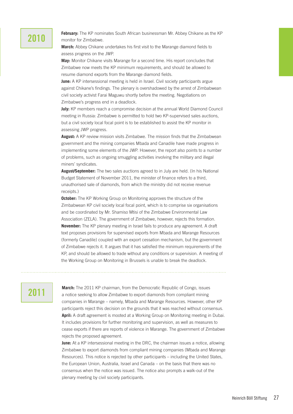### **2010**

**February:** The KP nominates South African businessman Mr. Abbey Chikane as the KP monitor for Zimbabwe.

**March:** Abbey Chikane undertakes his first visit to the Marange diamond fields to assess progress on the JWP.

**May:** Monitor Chikane visits Marange for a second time. His report concludes that Zimbabwe now meets the KP minimum requirements, and should be allowed to resume diamond exports from the Marange diamond fields.

**June:** A KP intersessional meeting is held in Israel. Civil society participants argue against Chikane's findings. The plenary is overshadowed by the arrest of Zimbabwean civil society activist Farai Maguwu shortly before the meeting. Negotiations on Zimbabwe's progress end in a deadlock.

**July:** KP members reach a compromise decision at the annual World Diamond Council meeting in Russia: Zimbabwe is permitted to hold two KP-supervised sales auctions, but a civil society local focal point is to be established to assist the KP monitor in assessing JWP progress.

**August:** A KP review mission visits Zimbabwe. The mission finds that the Zimbabwean government and the mining companies Mbada and Canadile have made progress in implementing some elements of the JWP. However, the report also points to a number of problems, such as ongoing smuggling activities involving the military and illegal miners' syndicates.

**August/September:** The two sales auctions agreed to in July are held. (In his National Budget Statement of November 2011, the minister of finance refers to a third, unauthorised sale of diamonds, from which the ministry did not receive revenue receipts.)

**October:** The KP Working Group on Monitoring approves the structure of the Zimbabwean KP civil society local focal point, which is to comprise six organisations and be coordinated by Mr. Shamiso Mtisi of the Zimbabwe Environmental Law Association (ZELA). The government of Zimbabwe, however, rejects this formation. **November:** The KP plenary meeting in Israel fails to produce any agreement. A draft text proposes provisions for supervised exports from Mbada and Marange Resources (formerly Canadile) coupled with an export cessation mechanism, but the government of Zimbabwe rejects it. It argues that it has satisfied the minimum requirements of the KP, and should be allowed to trade without any conditions or supervision. A meeting of the Working Group on Monitoring in Brussels is unable to break the deadlock.

### **2011**

**March:** The 2011 KP chairman, from the Democratic Republic of Congo, issues a notice seeking to allow Zimbabwe to export diamonds from compliant mining companies in Marange – namely, Mbada and Marange Resources. However, other KP participants reject this decision on the grounds that it was reached without consensus. **April:** A draft agreement is mooted at a Working Group on Monitoring meeting in Dubai. It includes provisions for further monitoring and supervision, as well as measures to cease exports if there are reports of violence in Marange. The government of Zimbabwe rejects the proposed agreement.

**June:** At a KP intersessional meeting in the DRC, the chairman issues a notice, allowing Zimbabwe to export diamonds from compliant mining companies (Mbada and Marange Resources). This notice is rejected by other participants – including the United States, the European Union, Australia, Israel and Canada – on the basis that there was no consensus when the notice was issued. The notice also prompts a walk-out of the plenary meeting by civil society participants.